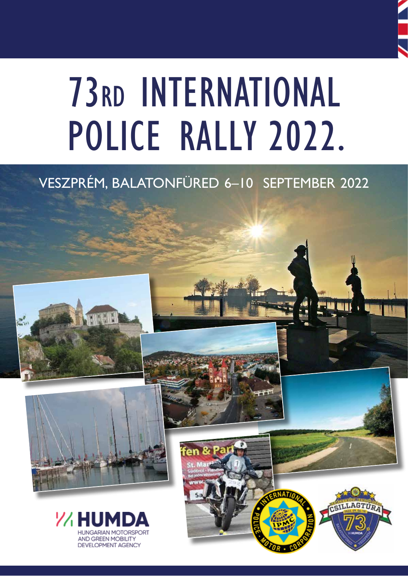

# **73RD INTERNATIONAL** POLICE RALLY 2022.

# VESZPRÉM, BALATONFÜRED 6-10 SEPTEMBER 2022





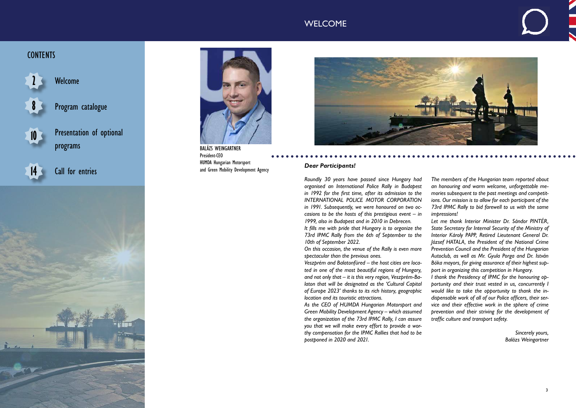### *Dear Participants!*

*Roundly 30 years have passed since Hungary had organised an International Police Rally in Budapest in 1992 for the first time, after its admission to the INTERNATIONAL POLICE MOTOR CORPORATION in 1991. Subsequently, we were honoured on two occasions to be the hosts of this prestigious event – in 1999, also in Budapest and in 2010 in Debrecen.*

*It fills me with pride that Hungary is to organize the 73rd IPMC Rally from the 6th of September to the 10th of September 2022.*

*On this occasion, the venue of the Rally is even more spectacular than the previous ones.*

*Veszprém and Balatonfüred – the host cities are located in one of the most beautiful regions of Hungary, and not only that – it is this very region, Veszprém-Balaton that will be designated as the 'Cultural Capital of Europe 2023' thanks to its rich history, geographic location and its touristic attractions.*

*As the CEO of HUMDA Hungarian Motorsport and Green Mobility Development Agency – which assumed the organization of the 73rd IPMC Rally, I can assure you that we will make every effort to provide a worthy compensation for the IPMC Rallies that had to be postponed in 2020 and 2021.*

*The members of the Hungarian team reported about an honouring and warm welcome, unforgettable memories subsequent to the past meetings and competitions. Our mission is to allow for each participant of the 73rd IPMC Rally to bid farewell to us with the same impressions!*

*Let me thank Interior Minister Dr. Sándor PINTÉR, State Secretary for Internal Security of the Ministry of Interior Károly PAPP, Retired Lieutenant General Dr. József HATALA, the President of the National Crime Prevention Council and the President of the Hungarian Autoclub, as well as Mr. Gyula Porga and Dr. István Bóka mayors, for giving assurance of their highest support in organizing this competition in Hungary.*

*I thank the Presidency of IPMC for the honouring opportunity and their trust vested in us, concurrently I would like to take the opportunity to thank the indispensable work of all of our Police officers, their service and their effective work in the sphere of crime prevention and their striving for the development of traffic culture and transport safety.*

> *Sincerely yours, Balázs Weingartner*

# WELCOME

# **CONTENTS**

# Welcome

Presentation of optional programs

Program catalogue **8**

Call for entries











BALÁZS WEINGARTNER President-CEO HUMDA Hungarian Motorsport and Green Mobility Development Agency

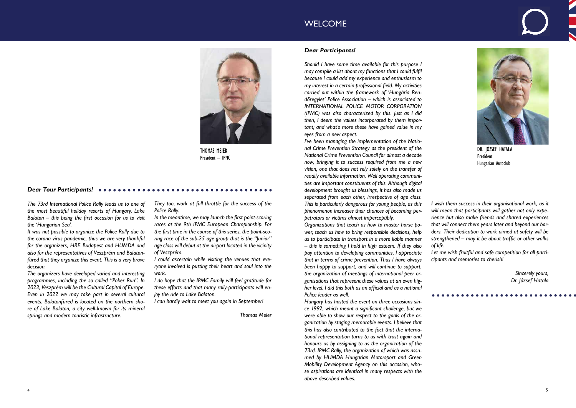*They too, work at full throttle for the success of the Police Rally.*

*In the meantime, we may launch the first point-scoring races at the 9th IPMC European Championship. For the first time in the course of this series, the point-scoring race of the sub-25 age group that is the "Junior" age class will debut at the airport located in the vicinity of Veszprém.*

*I could ascertain while visiting the venues that everyone involved is putting their heart and soul into the work.*

*I do hope that the IPMC Family will feel gratitude for these efforts and that many rally-participants will enjoy the ride to Lake Balaton.*

*I can hardly wait to meet you again in September!*

*Thomas Meier*

### *Dear Tour Participants!*

*The 73rd International Police Rally leads us to one of the most beautiful holiday resorts of Hungary, Lake Balaton – this being the first occasion for us to visit the 'Hungarian Sea'.*

*It was not possible to organize the Police Rally due to the corona virus pandemic, thus we are very thankful for the organizers, HRE Budapest and HUMDA and also for the representatives of Veszprém and Balatonfüred that they organize this event. This is a very brave decision.*

*The organizers have developed varied and interesting programmes, including the so called "Poker Run". In 2023, Veszprém will be the Cultural Capital of Europe. Even in 2022 we may take part in several cultural events. Balatonfüred is located on the northern shore of Lake Balaton, a city well-known for its mineral springs and modern touristic infrastructure.*



THOMAS MEIER President – IPMC



DR. JÓZSEF HATALA President Hungarian Autoclub

### *Dear Participants!*

*Should I have some time available for this purpose I may compile a list about my functions that I could fulfil because I could add my experience and enthusiasm to my interest in a certain professional field. My activities carried out within the framework of 'Hungária Rendőregylet' Police Association – which is associated to INTERNATIONAL POLICE MOTOR CORPORATION (IPMC) was also characterized by this. Just as I did then, I deem the values incorporated by them important; and what's more these have gained value in my eyes from a new aspect.*

*I've been managing the implementation of the National Crime Prevention Strategy as the president of the National Crime Prevention Council for almost a decade now, bringing it to success required from me a new vision, one that does not rely solely on the transfer of readily available information. Well operating communities are important constituents of this. Although digital development brought us blessings, it has also made us separated from each other, irrespective of age class. This is particularly dangerous for young people, as this phenomenon increases their chances of becoming perpetrators or victims almost imperceptibly.*

*Organizations that teach us how to master horse power, teach us how to bring responsible decisions, help us to participate in transport in a more liable manner – this is something I hold in high esteem. If they also pay attention to developing communities, I appreciate that in terms of crime prevention. Thus I have always been happy to support, and will continue to support, the organization of meetings of international peer organisations that represent these values at an even higher level. I did this both as an official and as a national Police leader as well.*

*Hungary has hosted the event on three occasions since 1992, which meant a significant challenge, but we were able to show our respect to the goals of the organization by staging memorable events. I believe that this has also contributed to the fact that the international representation turns to us with trust again and honours us by assigning to us the organization of the 73rd. IPMC Rally, the organization of which was assumed by HUMDA Hungarian Motorsport and Green Mobility Development Agency on this occasion, whose aspirations are identical in many respects with the above described values.*

# WELCOME

*I wish them success in their organisational work, as it will mean that participants will gather not only experience but also make friends and shared experiences that will connect them years later and beyond our borders. Their dedication to work aimed at safety will be strengthened – may it be about traffic or other walks of life.*

*Let me wish fruitful and safe competition for all participants and memories to cherish!*

> *Sincerely yours, Dr. József Hatala*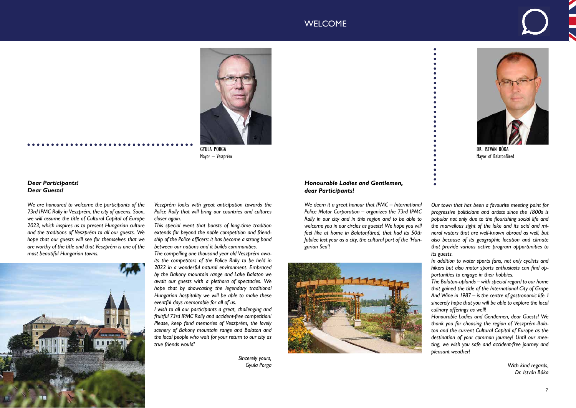

GYULA PORGA Mayor – Veszprém



DR. ISTVÁN BÓKA Mayor of Balatonfüred

### *Dear Participants! Dear Guests!*

*We are honoured to welcome the participants of the 73rd IPMC Rally in Veszprém, the city of queens. Soon, we will assume the title of Cultural Capital of Europe 2023, which inspires us to present Hungarian culture and the traditions of Veszprém to all our guests. We hope that our guests will see for themselves that we are worthy of the title and that Veszprém is one of the most beautiful Hungarian towns.*

*Veszprém looks with great anticipation towards the Police Rally that will bring our countries and cultures closer again.*

*This special event that boasts of long-time tradition extends far beyond the noble competition and friendship of the Police officers: it has become a strong bond between our nations and it builds communities.*

*The compelling one thousand year old Veszprém awaits the competitors of the Police Rally to be held in 2022 in a wonderful natural environment. Embraced by the Bakony mountain range and Lake Balaton we await our guests with a plethora of spectacles. We hope that by showcasing the legendary traditional Hungarian hospitality we will be able to make these eventful days memorable for all of us.*

*I wish to all our participants a great, challenging and fruitful 73rd IPMC Rally and accident-free competition! Please, keep fond memories of Veszprém, the lovely scenery of Bakony mountain range and Balaton and the local people who wait for your return to our city as true friends would!*

> *Sincerely yours, Gyula Porga*

# WELCOME

### *Honourable Ladies and Gentlemen, dear Participants!*

*We deem it a great honour that IPMC – International Police Motor Corporation – organizes the 73rd IPMC Rally in our city and in this region and to be able to welcome you in our circles as guests! We hope you will feel like at home in Balatonfüred, that had its 50th Jubilee last year as a city, the cultural port of the 'Hungarian Sea'!*



*Our town that has been a favourite meeting point for progressive politicians and artists since the 1800s is popular not only due to the flourishing social life and the marvellous sight of the lake and its acid and mineral waters that are well-known abroad as well, but also because of its geographic location and climate that provide various active program opportunities to its guests.*

*In addition to water sports fans, not only cyclists and hikers but also motor sports enthusiasts can find opportunities to engage in their hobbies.*

*The Balaton-uplands – with special regard to our home that gained the title of the International City of Grape And Wine in 1987 – is the centre of gastronomic life. I sincerely hope that you will be able to explore the local culinary offerings as well!*

*Honourable Ladies and Gentlemen, dear Guests! We thank you for choosing the region of Veszprém-Balaton and the current Cultural Capital of Europe as the destination of your common journey! Until our meeting, we wish you safe and accident-free journey and pleasant weather!*

> *With kind regards, Dr. István Bóka*

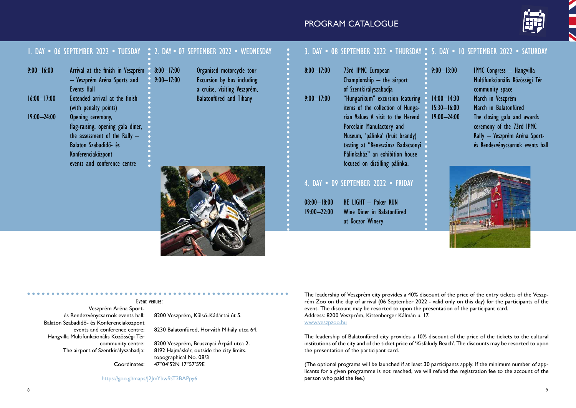### Event venues:

Veszprém Aréna Sportés Rendezvénycsarnok events hall: 8200 Veszprém, Külső-Kádártai út 5. Balaton Szabadidő- és Konferenciaközpont Hangvilla Multifunkcionális Közösségi Tér 

events and conference centre: 8230 Balatonfüred, Horváth Mihály utca 64.

community centre: 8200 Veszprém, Brusznyai Árpád utca 2. The airport of Szentkirályszabadja: 8192 Hajmáskér, outside the city limits, topographical No. 08/3 Coordinates: 47°04'52N 17°57'59E

https://goo.gl/maps/J2JmYbw9sT2BAPpy6

# PROGRAM CATALOGUE

|                 |                                                                                            | . DAY • 06 SEPTEMBER 2022 • TUESDAY • 2. DAY • 07 SEPTEMBER 2022 • WEDNESDAY                              |                 | DAY • 08 SEPTEMBER 2022 • THURSDAY • 5. DAY • 10 SEPTEMBER 2022 • SATURDAY   |                                    |                                                                                        |
|-----------------|--------------------------------------------------------------------------------------------|-----------------------------------------------------------------------------------------------------------|-----------------|------------------------------------------------------------------------------|------------------------------------|----------------------------------------------------------------------------------------|
| $9:00 - 16:00$  | Arrival at the finish in Veszprém 8:00–17:00<br>- Veszprém Aréna Sports and<br>Events Hall | Organised motorcycle tour<br>Excursion by bus including<br>$9:00 - 17:00$<br>a cruise, visiting Veszprém, | $8:00 - 17:00$  | 73rd IPMC European<br>Championship $-$ the airport<br>of Szentkirályszabadja | $9:00 - 13:00$                     | <b>IPMC</b> Congress - Hangvilla<br>Multifunkcionális Közösségi Tér<br>community space |
| $16:00 - 17:00$ | Extended arrival at the finish<br>(with penalty points)                                    | <b>Balatonfüred and Tihany</b>                                                                            | $9:00 - 17:00$  | "Hungarikum" excursion featuring<br>items of the collection of Hunga-        | $14:00 - 14:30$<br>$15:30 - 16:00$ | March in Veszprém<br>March in Balatonfüred                                             |
| $19:00 - 24:00$ | Opening ceremony,                                                                          |                                                                                                           |                 | rian Values A visit to the Herend                                            | $19:00 - 24:00$                    | The closing gala and awards                                                            |
|                 | flag-raising, opening gala diner,<br>the assessment of the Rally $-$                       |                                                                                                           |                 | Porcelain Manufactory and<br>Museum, 'pálinka' (fruit brandy)                |                                    | ceremony of the 73rd IPMC<br>Rally - Veszprém Aréna Sport-                             |
|                 | Balaton Szabadidő- és<br>Konferenciaközpont                                                |                                                                                                           |                 | tasting at "Reneszánsz Badacsonyi<br>Pálinkaház" an exhibition house         |                                    | és Rendezvénycsarnok events hall                                                       |
|                 | events and conference centre                                                               |                                                                                                           |                 | focused on distilling pálinka.                                               |                                    |                                                                                        |
|                 |                                                                                            |                                                                                                           |                 | 4. DAY . 09 SEPTEMBER 2022 . FRIDAY                                          |                                    |                                                                                        |
|                 |                                                                                            |                                                                                                           | $08:00 - 18:00$ | <b>BE LIGHT - Poker RUN</b>                                                  |                                    |                                                                                        |
|                 |                                                                                            |                                                                                                           | $19:00 - 22:00$ | Wine Diner in Balatonfüred<br>at Koczor Winery                               |                                    |                                                                                        |

# 5. DAY • 10 SEPTEMBER 2022 • SATURDAY



The leadership of Veszprém city provides a 40% discount of the price of the entry tickets of the Veszprém Zoo on the day of arrival (06 September 2022 - valid only on this day) for the participants of the event. The discount may be resorted to upon the presentation of the participant card. Address: 8200 Veszprém, Kittenberger Kálmán u. 17. www.veszpzoo.hu

The leadership of Balatonfüred city provides a 10% discount of the price of the tickets to the cultural institutions of the city and of the ticket price of 'Kisfaludy Beach'. The discounts may be resorted to upon the presentation of the participant card.

(The optional programs will be launched if at least 30 participants apply. If the minimum number of applicants for a given programme is not reached, we will refund the registration fee to the account of the person who paid the fee.)

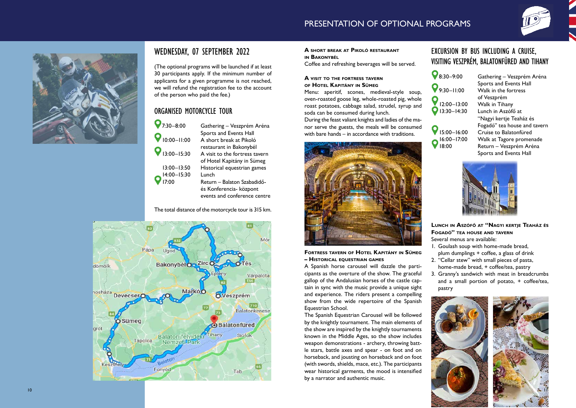# WEDNESDAY, 07 SEPTEMBER 2022

(The optional programs will be launched if at least 30 participants apply. If the minimum number of applicants for a given programme is not reached, we will refund the registration fee to the account of the person who paid the fee.)

# ORGANISED MOTORCYCLE TOUR

Gathering – Veszprém Aréna Sports and Events Hall<br>10:00–11:00 A short break at Pikoló A short break at Pikoló **O** 13:00–15:30 restaurant in Bakonybél A visit to the fortress tavern of Hotel Kapitány in Sümeg 13:00–13:50 Historical equestrian games Return – Balaton Szabadidő- és Konferencia- központ

### **A** short break at Pikoló restaurant **a**



 events and conference centre

The total distance of the motorcycle tour is 315 km.





**in B akonybél**

Coffee and refreshing beverages will be served.

### **A visit to the fortress tavern of Hotel Kapitány in Sümeg**

Menu: aperitif, scones, medieval-style soup, oven-roasted goose leg, whole-roasted pig, whole roast potatoes, cabbage salad, strudel, syrup and soda can be consumed during lunch.

During the feast valiant knights and ladies of the ma nor serve the guests, the meals will be consumed with bare hands – in accordance with traditions.



**Fortress tavern of Hotel Kapitány in Sümeg – Historic l equestri n g ames a a**

**8:30–9:00** Gathering – Veszprém Aréna Sports and Events Hall Walk in the fortress of Veszprém Walk in Tihany Lunch in Aszófő at "Nagyi kertje Teaház és Fogadó" tea house and tavern<br>15:00–16:00 Cruise to Balatonfüred Cruise to Balatonfüred Walk at Tagore promenade – Veszprém Aréna Sports and Events Hall



- 1. Goulash soup with home-made bread,
- plum dumplings + coffee, a glass of drink
- 2. "Cellar stew" with small pieces of pasta,
- home-made bread, + coffee/tea, pastry
- 3. Granny's sandwich with meat in breadcrumbs and a small portion of potato, + coffee/tea, pastry

A Spanish horse carousel will dazzle the parti cipants as the overture of the show. The graceful gallop of the Andalusian horses of the castle cap tain in sync with the music provide a unique sight and experience. The riders present a compelling show from the wide repertoire of the Spanish Equestrian School.

The Spanish Equestrian Carousel will be followed by the knightly tournament. The main elements of the show are inspired by the knightly tournaments known in the Middle Ages, so the show includes weapon demonstrations - archery, throwing batt le stars, battle axes and spear - on foot and on horseback, and jousting on horseback and on foot (with swords, shields, mace, etc.). The participants wear historical garments, the mood is intensified by a narrator and authentic music.



# EXCURSION BY BUS INCLUDING A CRUISE, VISITING VESZPRÉM, BALATONFÜRED AND TIHANY

| $8:30 - 9:00$              |
|----------------------------|
| $9:30 - 11:00$             |
| 12:00-13:00<br>13:30-14:30 |
|                            |

 $\bigcirc$   $\frac{16:00-17:00}{18:00}$ 

**Lunch in Aszófő at "Nagyi kertje Teaház és Fogadó" tea house and tavern**

Several menus are available:



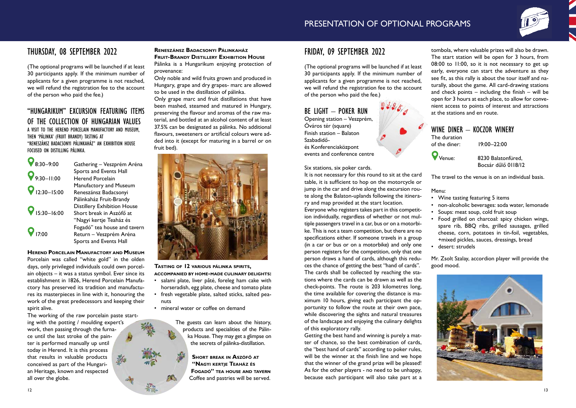# THURSDAY, 08 SEPTEMBER 2022

(The optional programs will be launched if at least 30 participants apply. If the minimum number of applicants for a given programme is not reached, we will refund the registration fee to the account of the person who paid the fee.)

### "HUNGARIKUM" EXCURSION FEATURING ITEMS OF THE COLLECTION OF HUNGARIAN VALUES A VISIT TO THE HEREND PORCELAIN MANUFACTORY AND MUSEUM, THEN 'PÁLINKA' (FRUIT BRANDY) TASTING AT "RENESZÁNSZ BADACSONYI PÁLINKAHÁZ" AN EXHIBITION HOUSE FOCUSED ON DISTILLING PÁLINKA.

| Gathering - Veszprém Aréna         |
|------------------------------------|
| Sports and Events Hall             |
| <b>Herend Porcelain</b>            |
| Manufactory and Museum             |
| Reneszánsz Badacsonyi              |
| Pálinkaház Fruit-Brandy            |
| <b>Distillery Exhibition House</b> |
| Short break in Aszófő at           |
| "Nagyi kertje Teaház és            |
| Fogadó" tea house and tavern       |
| Return - Veszprém Aréna            |
| Sports and Events Hall             |
|                                    |

**Herend Porcelain Manufactory and Museum** Porcelain was called "white gold" in the olden days, only privileged individuals could own porcelain objects – it was a status symbol. Ever since its establishment in 1826, Herend Porcelain Manufactory has preserved its tradition and manufactures its masterpieces in line with it, honouring the work of the great predecessors and keeping their spirit alive.

- salami plate, liver pâté, foreleg ham cake with horseradish, egg plate, cheese and tomato plate
- fresh vegetable plate, salted sticks, salted peanuts
- mineral water or coffee on demand

The working of the raw porcelain paste starting with the potting / moulding expert's work, then passing through the furnace until the last stroke of the painter is performed manually up until today in Herend. It is this process that results in valuable products conceived as part of the Hungarian Heritage, known and respected all over the globe.

### **Reneszánsz Badacsonyi Pálinkaház Fruit-Brandy Distillery Exhibition House**

Pálinka is a Hungarikum enjoying protection of provenance:

Only noble and wild fruits grown and produced in Hungary, grape and dry grapes- marc are allowed to be used in the distillation of pálinka.

Only grape marc and fruit distillations that have been mashed, steamed and matured in Hungary, preserving the flavour and aromas of the raw material, and bottled at an alcohol content of at least 37.5% can be designated as pálinka. No additional flavours, sweeteners or artificial colours were added into it (except for maturing in a barrel or on fruit bed).



### **Tasting of 12 various pálinka spirits, accompanied by home-made culinary delights:**

The guests can learn about the history, products and specialities of the Pálinka House. They may get a glimpse on the secrets of pálinka-distillation.

> **Short break in Aszófő at "Nagyi kertje Teaház és Fogadó" tea house and tavern** Coffee and pastries will be served.

# FRIDAY, 09 SEPTEMBER 2022

(The optional programs will be launched if at least 30 participants apply. If the minimum number of applicants for a given programme is not reached, we will refund the registration fee to the account of the person who paid the fee.)

# BE LIGHT – POKER RUN Opening station – Veszprém,

Óváros tér (square) Finish station – Balaton Szabadidőés Konferenciaközpont events and conference centre

### Six stations, six poker cards.

It is not necessary for this round to sit at the card table, it is sufficient to hop on the motorcycle or jump in the car and drive along the excursion route along the Balaton-uplands following the itinerary and map provided at the start location. Everyone who registers takes part in this competit-

ion individually, regardless of whether or not multiple passengers travel in a car, bus or on a motorbike. This is not a team competition, but there are no specifications either. If someone travels in a group (in a car or bus or on a motorbike) and only one person registers for the competition, only that one person draws a hand of cards, although this reduces the chance of getting the best "hand of cards". The cards shall be collected by reaching the stations where the cards can be drawn as well as the check-points. The route is 203 kilometres long, the time available for covering the distance is maximum 10 hours, giving each participant the opportunity to follow the route at their own pace, while discovering the sights and natural treasures of the landscape and enjoying the culinary delights of this exploratory rally.

Getting the best hand and winning is purely a matter of chance, so the best combination of cards, the "best hand of cards" according to poker rules, will be the winner at the finish line and we hope that the winner of the grand prize will be pleased! As for the other players - no need to be unhappy, because each participant will also take part at a



tombola, where valuable prizes will also be drawn. The start station will be open for 3 hours, from 08:00 to 11:00, so it is not necessary to get up early, everyone can start the adventure as they see fit, as this rally is about the tour itself and naturally, about the game. All card-drawing stations and check points – including the finish – will be open for 3 hours at each place, to allow for convenient access to points of interest and attractions at the stations and en route. WINE DINER - KOCZOR WINERY The duration of the diner: 19:00–22:00 Venue: 8230 Balatonfüred, Bocsár dűlő 0118/12

The travel to the venue is on an individual basis.

Menu: 

- Wine tasting featuring 5 items
- • non-alcoholic beverages: soda water, lemonade • Soups: meat soup, cold fruit soup
- • Food grilled on charcoal: spicy chicken wings, spare rib, BBQ ribs, grilled sausages, grilled cheese, corn, potatoes in tin-foil, vegetables, +mixed pickles, sauces, dressings, bread desert: strudels

Mr. Zsolt Szalay, accordion player will provide the good mood.

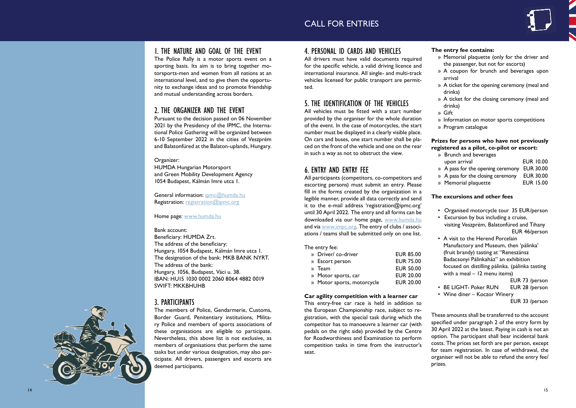# CALL FOR ENTRIES

# 1. THE NATURE AND GOAL OF THE EVENT

The Police Rally is a motor sports event on a sporting basis. Its aim is to bring together mo torsports-men and women from all nations at an international level, and to give them the opportu nity to exchange ideas and to promote friendship and mutual understanding across borders.

# 2. THE ORGANIZER AND THE EVENT

General information: ipmc@humda.hu Registration: registration@ipmc.org

Pursuant to the decision passed on 06 November 2021 by the Presidency of the IPMC, the Interna tional Police Gathering will be organized between 6-10 September 2022 in the cities of Veszprém and Balatonfüred at the Balaton-uplands, Hungary.

Organizer: HUMDA Hungarian Motorsport and Green Mobility Development Agency 1054 Budapest, Kálmán Imre utca 1.

Home page: www.humda.hu

Bank account: Beneficiary: HUMDA Zrt. The address of the beneficiary: Hungary, 1054 Budapest, Kálmán Imre utca 1. The designation of the bank: MKB BANK NYRT. The address of the bank: Hungary, 1056, Budapest, Váci u. 38. IBAN: HU15 1030 0002 2060 8064 4882 0019 SWIFT: MKKBHUHB

# 3. PARTICIPANTS

The members of Police, Gendarmerie, Customs, Border Guard, Penitentiary institutions, Milita ry Police and members of sports associations of these organisations are eligible to participate. Nevertheless, this above list is not exclusive, as members of organisations that perform the same tasks but under various designation, may also par ticipate. All drivers, passengers and escorts are deemed participants.

# 4. PERSONAL ID CARDS AND VEHICLES

All drivers must have valid documents required for the specific vehicle, a valid driving licence and international insurance. All single- and multi-track vehicles licensed for public transport are permit ted.

# 5. THE IDENTIFICATION OF THE VEHICLES

 » A pass for the closing ceremony EUR 30.00 » Memorial plaquette **EUR 15.00** 

All vehicles must be fitted with a start number provided by the organiser for the whole duration of the event. In the case of motorcycles, the start number must be displayed in a clearly visible place. On cars and buses, one start number shall be pla ced on the front of the vehicle and one on the rear in such a way as not to obstruct the view.

# 6. ENTRY AND ENTRY FEE

- Organised motorcycle tour 35 EUR/person
- Excursion by bus including a cruise, visiting Veszprém, Balatonfüred and Tihany EUR 46/person
	- A visit to the Herend Porcelain Manufactory and Museum, then 'pálinka' (fruit brandy) tasting at "Reneszánsz Badacsonyi Pálinkaház" an exhibition focused on distilling pálinka. (pálinka tasting with a meal – 12 menu items)
		- EUR 73 /person
	- BE LIGHT- Poker RUN EUR 28 /person
- • Wine diner Koczor Winery EUR 33 /person

All participants (competitors, co-competitors and escorting persons) must submit an entry. Please fill in the forms created by the organization in a legible manner, provide all data correctly and send it to the e-mail address 'registration@ipmc.org' until 30 April 2022. The entry and all forms can be downloaded via our home page, www.humda.hu and via www.impc.org. The entry of clubs / associations / teams shall be submitted only on one list.

### The entry fee:

| » Driver/ co-driver        | <b>EUR 85.00</b> |
|----------------------------|------------------|
| » Escort person            | <b>EUR 75.00</b> |
| » Team                     | <b>EUR 50.00</b> |
| » Motor sports, car        | <b>EUR 20.00</b> |
| » Motor sports, motorcycle | <b>EUR 20.00</b> |
|                            |                  |

### **Car agility competition with a learner car**

This entry-free car race is held in addition to the European Championship race, subject to re gistration, with the special task during which the competitor has to manoeuvre a learner car (with pedals on the right side) provided by the Centre for Roadworthiness and Examination to perform competition tasks in time from the instructor's seat.



**The entry fee contains:**

- » Memorial plaquette (only for the driver and the passenger, but not for escorts)
- » A coupon for brunch and beverages upon arrival
- » A ticket for the opening ceremony (meal and drinks)
- » A ticket for the closing ceremony (meal and drinks)
- » Gift
- » Information on motor sports competitions
- » Program catalogue

### **Prizes for persons who have not previously registered as a pilot, co-pilot or escort:**

|  | » Brunch and beverages                                             |                  |
|--|--------------------------------------------------------------------|------------------|
|  | upon arrival                                                       | <b>EUR 10.00</b> |
|  | » A pass for the opening ceremony EUR 30.00                        |                  |
|  | $\mu$ , $\Lambda$ pass for the electric commons $\mu$ . ELID 20.00 |                  |

### **The excursions and other fees**

These amounts shall be transferred to the account specified under paragraph 2 of the entry form by 30 April 2022 at the latest. Paying in cash is not an option. The participant shall bear incidental bank costs. The prices set forth are per person, except for team registration. In case of withdrawal, the organiser will not be able to refund the entry fee/ prizes.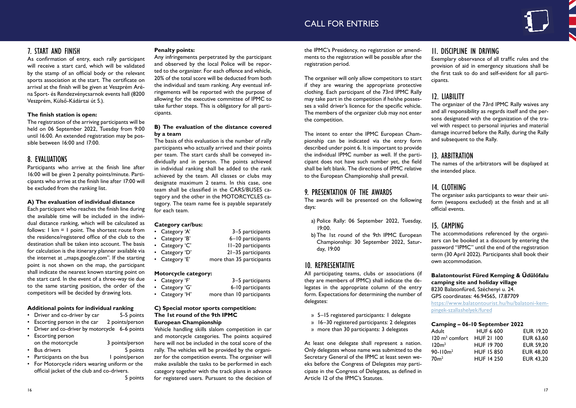# 7. START AND FINISH

As confirmation of entry, each rally participant will receive a start card, which will be validated by the stamp of an official body or the relevant sports association at the start. The certificate on arrival at the finish will be given at Veszprém Aréna Sport- és Rendezvénycsarnok events hall (8200 Veszprém, Külső-Kádártai út 5.).

### **The finish station is open:**

The registration of the arriving participants will be held on 06 September 2022, Tuesday from 9:00 until 16:00. An extended registration may be possible between 16:00 and 17:00.

# 8. EVALUATIONS

Participants who arrive at the finish line after 16:00 will be given 2 penalty points/minute. Participants who arrive at the finish line after 17:00 will be excluded from the ranking list.

### **A) The evaluation of individual distance**

- Driver and co-driver by car 5-5 points
- Escorting person in the car  $\frac{2}{2}$  points/person
- Driver and co-driver by motorcycle 6-6 points
- **Escorting person** on the motorcycle 3 points/person
- Bus drivers 5 points
- Participants on the bus I point/person
- For Motorcycle riders wearing uniform or the official jacket of the club and co-drivers.

Each participant who reaches the finish line during the available time will be included in the individual distance ranking, which will be calculated as follows: 1 km = 1 point. The shortest route from the residence/registered office of the club to the destination shall be taken into account. The basis for calculation is the itinerary planner available via the internet at "maps.google.com". If the starting point is not shown on the map, the participant shall indicate the nearest known starting point on the start card. In the event of a three-way tie due to the same starting position, the order of the competitors will be decided by drawing lots.

### **Additional points for individual ranking**

 5 points

### **Penalty points:**

Any infringements perpetrated by the participant and observed by the local Police will be reported to the organizer. For each offence and vehicle, 20% of the total score will be deducted from both the individual and team ranking. Any eventual infringements will be reported with the purpose of allowing for the executive committee of IPMC to take further steps. This is obligatory for all participants.

### **B) The evaluation of the distance covered by a team**

- a) Police Rally: 06 September 2022, Tuesday, 19:00.
- b) The 1st round of the 9th IPMC European Championship: 30 September 2022, Saturday, 19:00

The basis of this evaluation is the number of rally participants who actually arrived and their points per team. The start cards shall be conveyed individually and in person. The points achieved in individual ranking shall be added to the rank achieved by the team. All classes or clubs may designate maximum 2 teams. In this case, one team shall be classified in the CARS/BUSES category and the other in the MOTORCYCLES category. The team name fee is payable separately for each team.

### **Category car/bus:**

| • Category 'A' | 3–5 participants          |
|----------------|---------------------------|
| • Category 'B' | 6-10 participants         |
| • Category 'C' | II-20 participants        |
| • Category 'D' | 21-35 participants        |
| • Category 'E' | more than 35 participants |

### **Motorcycle category:**

| • Category 'F' | 3–5 participants          |
|----------------|---------------------------|
| • Category 'G' | 6-10 participants         |
| • Category 'H' | more than 10 participants |

### **C) Special motor sports competition: The 1st round of the 9th IPMC European Championship**

Vehicle handling skills slalom competition in car and motorcycle categories. The points acquired here will not be included in the total score of the rally. The vehicles will be provided by the organizer for the competition events. The organiser will make available the tasks to be performed in each category together with the track plans in advance for registered users. Pursuant to the decision of

the IPMC's Presidency, no registration or amendments to the registration will be possible after the registration period.

The organiser will only allow competitors to start if they are wearing the appropriate protective clothing. Each participant of the 73rd IPMC Rally may take part in the competition if he/she possesses a valid driver's licence for the specific vehicle. The members of the organizer club may not enter the competition.

The intent to enter the IPMC European Championship can be indicated via the entry form described under point 6. It is important to provide the individual IPMC number as well. If the participant does not have such number yet, the field shall be left blank. The directions of IPMC relative to the European Championship shall prevail.

# 9. PRESENTATION OF THE AWARDS

The awards will be presented on the following days:

# 10. REPRESENTATIVE

All participating teams, clubs or associations (if they are members of IPMC) shall indicate the delegates in the appropriate column of the entry form. Expectations for determining the number of delegates:

- » 5–15 registered participants: 1 delegate
- » 16–30 registered participants: 2 delegates
- » more than 30 participants: 3 delegates

At least one delegate shall represent a nation. Only delegates whose name was submitted to the Secretary General of the IPMC at least seven weeks before the Congress of Delegates may participate in the Congress of Delegates, as defined in Article 12 of the IPMC's Statutes.

 $\overline{12}$ 90

# 11. DISCIPLINE IN DRIVING

Exemplary observance of all traffic rules and the provision of aid in emergency situations shall be the first task to do and self-evident for all participants.

# 12. LIABILITY

The organizer of the 73rd IPMC Rally waives any and all responsibility as regards itself and the persons designated with the organization of the travel with respect to personal injuries and material damage incurred before the Rally, during the Rally and subsequent to the Rally.

# 13. ARBITRATION

The names of the arbitrators will be displayed at the intended place.

# 14. CLOTHING

The organiser asks participants to wear their uniform (weapons excluded) at the finish and at all official events.

# 15. CAMPING

The accommodations referenced by the organizers can be booked at a discount by entering the password "IPMC" until the end of the registration term (30 April 2022). Participants shall book their own accommodation.

**Balatontourist Füred Kemping & Üdülőfalu camping site and holiday village** 8230 Balatonfüred, Széchenyi u. 24. GPS coordinates: 46.94565, 17.87709 https://www.balatontourist.hu/hu/balatoni-kempingek-szallashelyek/fured

### **Camping – 06-10 September 2022**

| Adult                                 | <b>HUF 6 600</b>  | <b>EUR 19,20</b> |
|---------------------------------------|-------------------|------------------|
| 120 m <sup>2</sup> comfort HUF 21 100 |                   | <b>EUR 63,60</b> |
| 120m <sup>2</sup>                     | <b>HUF 19 700</b> | <b>EUR 59,20</b> |
| $90 - 110m^2$                         | <b>HUF 15 850</b> | <b>EUR 48,00</b> |
| 70 <sup>2</sup>                       | <b>HUF 14 250</b> | <b>EUR 43,20</b> |

# CALL FOR ENTRIES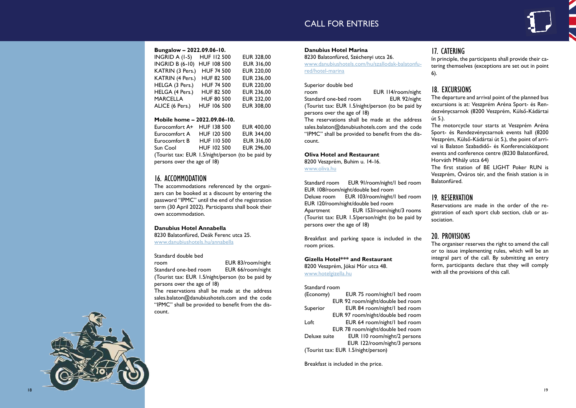# CALL FOR ENTRIES

### **Bungalow – 2022.09.06-10.**

| INGRID A (I-5)         | <b>HUF 112 500</b> | <b>EUR 328,00</b> |
|------------------------|--------------------|-------------------|
| <b>INGRID B (6-10)</b> | <b>HUF 108 500</b> | <b>EUR 316,00</b> |
| KATRIN (3 Pers.)       | <b>HUF 74 500</b>  | <b>EUR 220,00</b> |
| KATRIN (4 Pers.)       | <b>HUF 82 500</b>  | <b>EUR 236,00</b> |
| HELGA (3 Pers.)        | <b>HUF 74 500</b>  | <b>EUR 220,00</b> |
| HELGA (4 Pers.)        | <b>HUF 82 500</b>  | <b>EUR 236,00</b> |
| <b>MARCELLA</b>        | <b>HUF 80 500</b>  | <b>EUR 232,00</b> |
| ALICE (6 Pers.)        | <b>HUF 106 500</b> | <b>EUR 308,00</b> |
|                        |                    |                   |

### **Mobile home – 2022.09.06-10.**

| Eurocomfort A+                                    | <b>HUF 138 500</b> | <b>EUR 400,00</b> |
|---------------------------------------------------|--------------------|-------------------|
| Eurocomfort A                                     | HUF 120 500        | <b>EUR 344,00</b> |
| Eurocomfort B                                     | <b>HUF 110 500</b> | <b>EUR 316,00</b> |
| Sun Cool                                          | HUF 102 500        | <b>EUR 296,00</b> |
| (Tourist tax: EUR 1.5/night/person (to be paid by |                    |                   |
| persons over the age of 18)                       |                    |                   |

Standard one-bed room EUR 66/room/night (Tourist tax: EUR 1.5/night/person (to be paid by persons over the age of 18)

# 16. ACCOMMODATION

The accommodations referenced by the organi zers can be booked at a discount by entering the password "IPMC" until the end of the registration term (30 April 2022). Participants shall book their own accommodation.

### **Danubius Hotel Annabella**

8230 Balatonfüred, Deák Ferenc utca 25. www.danubiushotels.hu/annabella

### Standard double bed

room **EUR 83/room/night** 

Standard room EUR 91/room/night/I bed room EUR 108/room/night/double bed room Deluxe room EUR 103/room/night/I bed room EUR 120/room/night/double bed room Apartment **EUR 153/room/night/3 rooms** (Tourist tax: EUR 1.5/person/night (to be paid by persons over the age of 18)

The reservations shall be made at the address sales.balaton@danubiushotels.com and the code "IPMC" shall be provided to benefit from the dis count.

### **Danubius Hotel Marina**

8230 Balatonfüred, Széchenyi utca 26. www.danubiushotels.com/hu/szallodak-balatonfu red/hotel-marina

### Superior double bed room **EUR 114/room/night** Standard one-bed room **EUR 92/night** (Tourist tax: EUR 1.5/night/person (to be paid by persons over the age of 18) The reservations shall be made at the address sales.balaton@danubiushotels.com and the code "IPMC" shall be provided to benefit from the dis count.

### **Oliva Hotel and Restaurant**

8200 Veszprém, Buhim u. 14-16. www.oliva.hu

Breakfast and parking space is included in the room prices.

### **Gizella Hotel\*\*\* and Restaurant**

8200 Veszprém, Jókai Mór utca 48. www.hotelgizella.hu

### Standard room

| (Economy)    | EUR 75 room/night/I bed room        |
|--------------|-------------------------------------|
|              | EUR 92 room/night/double bed room   |
| Superior     | EUR 84 room/night/I bed room        |
|              | EUR 97 room/night/double bed room   |
| Loft         | EUR 64 room/night/I bed room        |
|              | EUR 78 room/night/double bed room   |
| Deluxe suite | EUR 110 room/night/2 persons        |
|              | EUR 122/room/night/3 persons        |
|              | (Tourist tax: EUR 1.5/night/person) |

Breakfast is included in the price.

# 17. CATERING

In principle, the participants shall provide their ca tering themselves (exceptions are set out in point

# 6).

# 18. EXCURSIONS

The departure and arrival point of the planned bus excursions is at: Veszprém Aréna Sport- és Ren dezvénycsarnok (8200 Veszprém, Külső-Kádártai út 5.).

The motorcycle tour starts at Veszprém Aréna Sport- és Rendezvénycsarnok events hall (8200 Veszprém, Külső-Kádártai út 5.), the point of arri val is Balaton Szabadidő- és Konferenciaközpont events and conference centre (8230 Balatonfüred, Horváth Mihály utca 64)

The first station of BE LIGHT Poker RUN is Veszprém, Óváros tér, and the finish station is in Balatonfüred.

# 19. RESERVATION

Reservations are made in the order of the re gistration of each sport club section, club or as sociation.

# 20. PROVISIONS

The organiser reserves the right to amend the call or to issue implementing rules, which will be an integral part of the call. By submitting an entry form, participants declare that they will comply with all the provisions of this call.